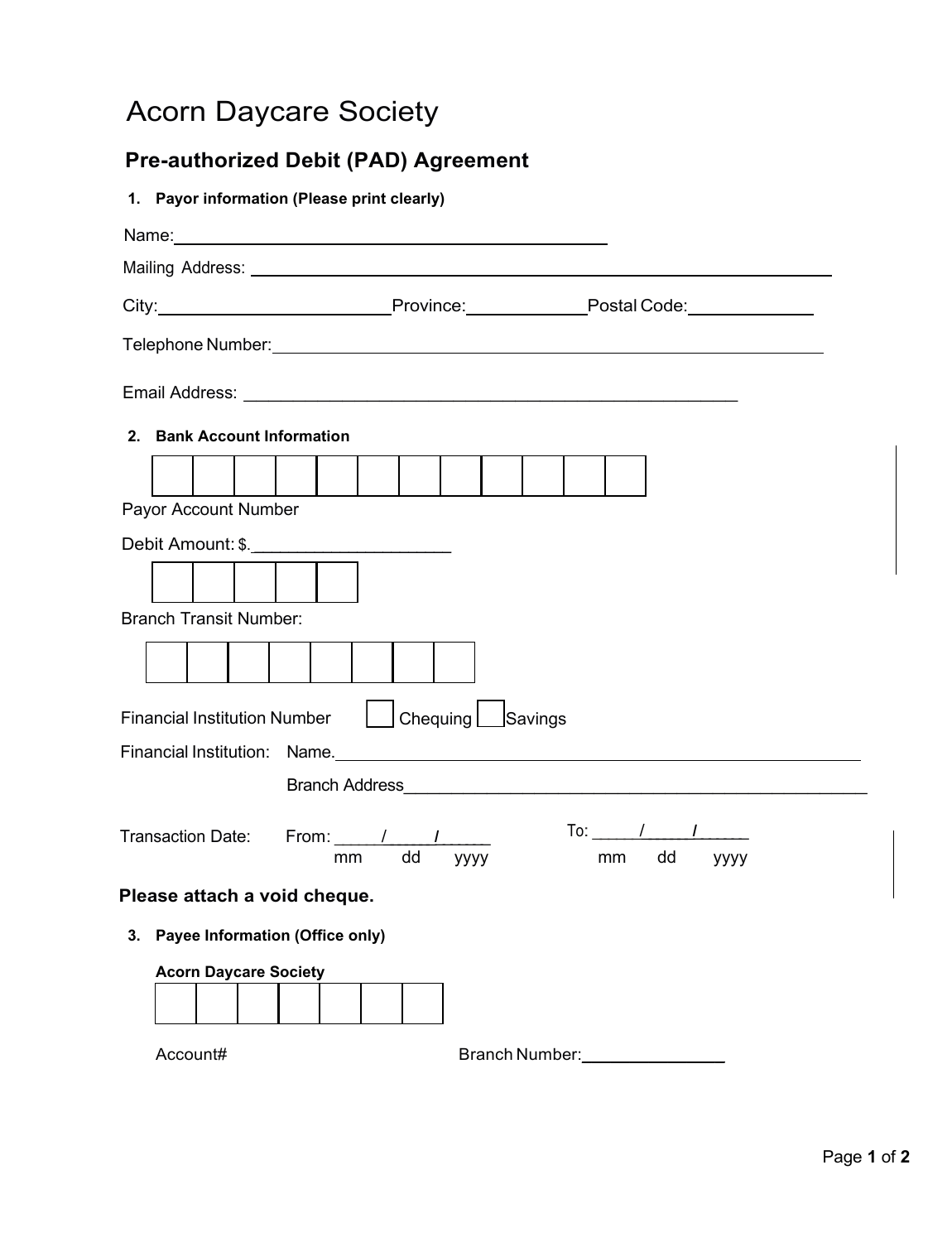## Acorn Daycare Society

## **Pre-authorized Debit (PAD) Agreement**

| 1. Payor information (Please print clearly)                                                                                                                                                                                            |
|----------------------------------------------------------------------------------------------------------------------------------------------------------------------------------------------------------------------------------------|
|                                                                                                                                                                                                                                        |
|                                                                                                                                                                                                                                        |
| City: 2008. [2013] Province: 2014 [2014] Postal Code: 2014 [2015] Postal Code: 2014                                                                                                                                                    |
|                                                                                                                                                                                                                                        |
|                                                                                                                                                                                                                                        |
| 2. Bank Account Information                                                                                                                                                                                                            |
|                                                                                                                                                                                                                                        |
| Payor Account Number                                                                                                                                                                                                                   |
|                                                                                                                                                                                                                                        |
|                                                                                                                                                                                                                                        |
| <b>Branch Transit Number:</b>                                                                                                                                                                                                          |
|                                                                                                                                                                                                                                        |
| Chequing Savings<br><b>Financial Institution Number</b>                                                                                                                                                                                |
| Financial Institution: Name.<br><u> Contract Contract Contract Contract Contract Contract Contract Contract Contract Contract Contract Contract Contract Contract Contract Contract Contract Contract Contract Contract Contract C</u> |
|                                                                                                                                                                                                                                        |
| To: $\sqrt{1-\frac{1}{2}}$<br>Transaction Date: From: / / /<br>dd<br>mm<br>уууу<br>mm dd<br>уууу                                                                                                                                       |
| Please attach a void cheque.                                                                                                                                                                                                           |
| 3. Payee Information (Office only)                                                                                                                                                                                                     |
| <b>Acorn Daycare Society</b>                                                                                                                                                                                                           |
| Branch Number:<br>Account#                                                                                                                                                                                                             |